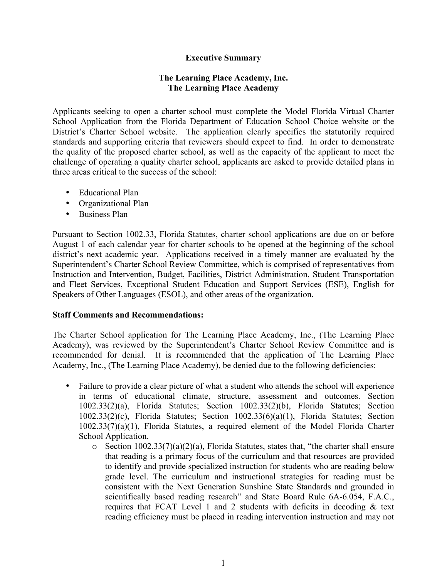## **Executive Summary**

## **The Learning Place Academy, Inc. The Learning Place Academy**

Applicants seeking to open a charter school must complete the Model Florida Virtual Charter School Application from the Florida Department of Education School Choice website or the District's Charter School website. The application clearly specifies the statutorily required standards and supporting criteria that reviewers should expect to find. In order to demonstrate the quality of the proposed charter school, as well as the capacity of the applicant to meet the challenge of operating a quality charter school, applicants are asked to provide detailed plans in three areas critical to the success of the school:

- Educational Plan
- Organizational Plan
- Business Plan

Pursuant to Section 1002.33, Florida Statutes, charter school applications are due on or before August 1 of each calendar year for charter schools to be opened at the beginning of the school district's next academic year. Applications received in a timely manner are evaluated by the Superintendent's Charter School Review Committee, which is comprised of representatives from Instruction and Intervention, Budget, Facilities, District Administration, Student Transportation and Fleet Services, Exceptional Student Education and Support Services (ESE), English for Speakers of Other Languages (ESOL), and other areas of the organization.

## **Staff Comments and Recommendations:**

The Charter School application for The Learning Place Academy, Inc., (The Learning Place Academy), was reviewed by the Superintendent's Charter School Review Committee and is recommended for denial. It is recommended that the application of The Learning Place Academy, Inc., (The Learning Place Academy), be denied due to the following deficiencies:

- Failure to provide a clear picture of what a student who attends the school will experience in terms of educational climate, structure, assessment and outcomes. Section 1002.33(2)(a), Florida Statutes; Section 1002.33(2)(b), Florida Statutes; Section 1002.33(2)(c), Florida Statutes; Section 1002.33(6)(a)(1), Florida Statutes; Section 1002.33(7)(a)(1), Florida Statutes, a required element of the Model Florida Charter School Application.
	- $\circ$  Section 1002.33(7)(a)(2)(a), Florida Statutes, states that, "the charter shall ensure that reading is a primary focus of the curriculum and that resources are provided to identify and provide specialized instruction for students who are reading below grade level. The curriculum and instructional strategies for reading must be consistent with the Next Generation Sunshine State Standards and grounded in scientifically based reading research" and State Board Rule 6A-6.054, F.A.C., requires that FCAT Level 1 and 2 students with deficits in decoding & text reading efficiency must be placed in reading intervention instruction and may not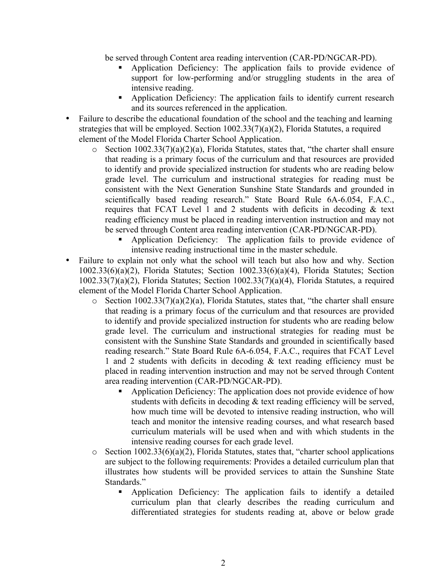be served through Content area reading intervention (CAR-PD/NGCAR-PD).

- § Application Deficiency: The application fails to provide evidence of support for low-performing and/or struggling students in the area of intensive reading.
- § Application Deficiency: The application fails to identify current research and its sources referenced in the application.
- Failure to describe the educational foundation of the school and the teaching and learning strategies that will be employed. Section 1002.33(7)(a)(2), Florida Statutes, a required element of the Model Florida Charter School Application.
	- $\circ$  Section 1002.33(7)(a)(2)(a), Florida Statutes, states that, "the charter shall ensure that reading is a primary focus of the curriculum and that resources are provided to identify and provide specialized instruction for students who are reading below grade level. The curriculum and instructional strategies for reading must be consistent with the Next Generation Sunshine State Standards and grounded in scientifically based reading research." State Board Rule 6A-6.054, F.A.C., requires that FCAT Level 1 and 2 students with deficits in decoding & text reading efficiency must be placed in reading intervention instruction and may not be served through Content area reading intervention (CAR-PD/NGCAR-PD).
		- Application Deficiency: The application fails to provide evidence of intensive reading instructional time in the master schedule.
- Failure to explain not only what the school will teach but also how and why. Section 1002.33(6)(a)(2), Florida Statutes; Section 1002.33(6)(a)(4), Florida Statutes; Section 1002.33(7)(a)(2), Florida Statutes; Section 1002.33(7)(a)(4), Florida Statutes, a required element of the Model Florida Charter School Application.
	- $\circ$  Section 1002.33(7)(a)(2)(a), Florida Statutes, states that, "the charter shall ensure that reading is a primary focus of the curriculum and that resources are provided to identify and provide specialized instruction for students who are reading below grade level. The curriculum and instructional strategies for reading must be consistent with the Sunshine State Standards and grounded in scientifically based reading research." State Board Rule 6A-6.054, F.A.C., requires that FCAT Level 1 and 2 students with deficits in decoding & text reading efficiency must be placed in reading intervention instruction and may not be served through Content area reading intervention (CAR-PD/NGCAR-PD).
		- Application Deficiency: The application does not provide evidence of how students with deficits in decoding & text reading efficiency will be served, how much time will be devoted to intensive reading instruction, who will teach and monitor the intensive reading courses, and what research based curriculum materials will be used when and with which students in the intensive reading courses for each grade level.
	- $\circ$  Section 1002.33(6)(a)(2), Florida Statutes, states that, "charter school applications are subject to the following requirements: Provides a detailed curriculum plan that illustrates how students will be provided services to attain the Sunshine State Standards."
		- § Application Deficiency: The application fails to identify a detailed curriculum plan that clearly describes the reading curriculum and differentiated strategies for students reading at, above or below grade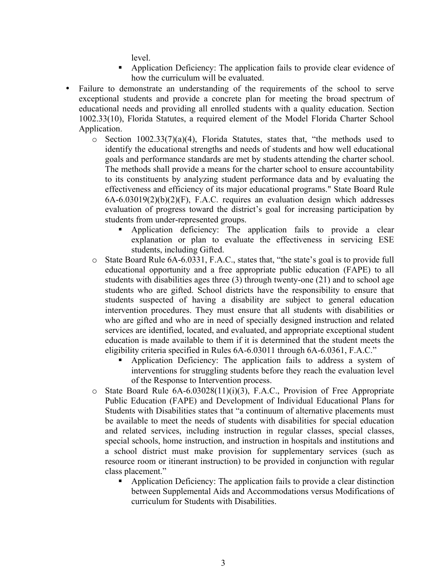level.

- § Application Deficiency: The application fails to provide clear evidence of how the curriculum will be evaluated.
- Failure to demonstrate an understanding of the requirements of the school to serve exceptional students and provide a concrete plan for meeting the broad spectrum of educational needs and providing all enrolled students with a quality education. Section 1002.33(10), Florida Statutes, a required element of the Model Florida Charter School Application.
	- $\circ$  Section 1002.33(7)(a)(4), Florida Statutes, states that, "the methods used to identify the educational strengths and needs of students and how well educational goals and performance standards are met by students attending the charter school. The methods shall provide a means for the charter school to ensure accountability to its constituents by analyzing student performance data and by evaluating the effectiveness and efficiency of its major educational programs." State Board Rule 6A-6.03019(2)(b)(2)(F), F.A.C. requires an evaluation design which addresses evaluation of progress toward the district's goal for increasing participation by students from under-represented groups.
		- § Application deficiency: The application fails to provide a clear explanation or plan to evaluate the effectiveness in servicing ESE students, including Gifted.
	- o State Board Rule 6A-6.0331, F.A.C., states that, "the state's goal is to provide full educational opportunity and a free appropriate public education (FAPE) to all students with disabilities ages three (3) through twenty-one (21) and to school age students who are gifted. School districts have the responsibility to ensure that students suspected of having a disability are subject to general education intervention procedures. They must ensure that all students with disabilities or who are gifted and who are in need of specially designed instruction and related services are identified, located, and evaluated, and appropriate exceptional student education is made available to them if it is determined that the student meets the eligibility criteria specified in Rules 6A-6.03011 through 6A-6.0361, F.A.C."
		- § Application Deficiency: The application fails to address a system of interventions for struggling students before they reach the evaluation level of the Response to Intervention process.
	- o State Board Rule 6A-6.03028(11)(i)(3), F.A.C., Provision of Free Appropriate Public Education (FAPE) and Development of Individual Educational Plans for Students with Disabilities states that "a continuum of alternative placements must be available to meet the needs of students with disabilities for special education and related services, including instruction in regular classes, special classes, special schools, home instruction, and instruction in hospitals and institutions and a school district must make provision for supplementary services (such as resource room or itinerant instruction) to be provided in conjunction with regular class placement."
		- § Application Deficiency: The application fails to provide a clear distinction between Supplemental Aids and Accommodations versus Modifications of curriculum for Students with Disabilities.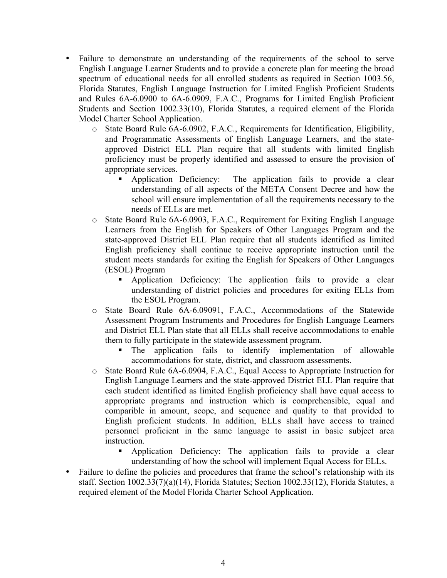- Failure to demonstrate an understanding of the requirements of the school to serve English Language Learner Students and to provide a concrete plan for meeting the broad spectrum of educational needs for all enrolled students as required in Section 1003.56, Florida Statutes, English Language Instruction for Limited English Proficient Students and Rules 6A-6.0900 to 6A-6.0909, F.A.C., Programs for Limited English Proficient Students and Section 1002.33(10), Florida Statutes, a required element of the Florida Model Charter School Application.
	- o State Board Rule 6A-6.0902, F.A.C., Requirements for Identification, Eligibility, and Programmatic Assessments of English Language Learners, and the stateapproved District ELL Plan require that all students with limited English proficiency must be properly identified and assessed to ensure the provision of appropriate services.
		- § Application Deficiency: The application fails to provide a clear understanding of all aspects of the META Consent Decree and how the school will ensure implementation of all the requirements necessary to the needs of ELLs are met.
	- o State Board Rule 6A-6.0903, F.A.C., Requirement for Exiting English Language Learners from the English for Speakers of Other Languages Program and the state-approved District ELL Plan require that all students identified as limited English proficiency shall continue to receive appropriate instruction until the student meets standards for exiting the English for Speakers of Other Languages (ESOL) Program
		- § Application Deficiency: The application fails to provide a clear understanding of district policies and procedures for exiting ELLs from the ESOL Program.
	- o State Board Rule 6A-6.09091, F.A.C., Accommodations of the Statewide Assessment Program Instruments and Procedures for English Language Learners and District ELL Plan state that all ELLs shall receive accommodations to enable them to fully participate in the statewide assessment program.
		- § The application fails to identify implementation of allowable accommodations for state, district, and classroom assessments.
	- o State Board Rule 6A-6.0904, F.A.C., Equal Access to Appropriate Instruction for English Language Learners and the state-approved District ELL Plan require that each student identified as limited English proficiency shall have equal access to appropriate programs and instruction which is comprehensible, equal and comparible in amount, scope, and sequence and quality to that provided to English proficient students. In addition, ELLs shall have access to trained personnel proficient in the same language to assist in basic subject area instruction.
		- § Application Deficiency: The application fails to provide a clear understanding of how the school will implement Equal Access for ELLs.
- Failure to define the policies and procedures that frame the school's relationship with its staff. Section 1002.33(7)(a)(14), Florida Statutes; Section 1002.33(12), Florida Statutes, a required element of the Model Florida Charter School Application.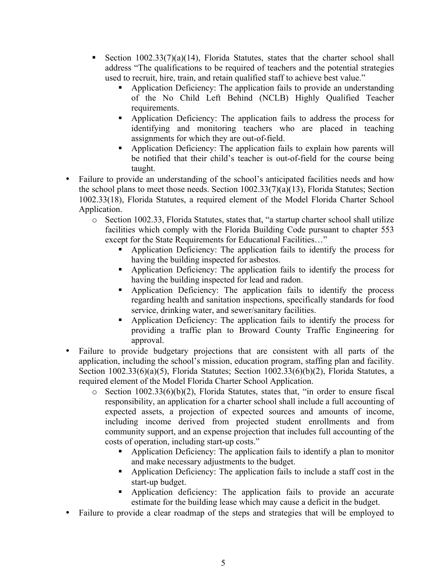- Section  $1002.33(7)(a)(14)$ , Florida Statutes, states that the charter school shall address "The qualifications to be required of teachers and the potential strategies used to recruit, hire, train, and retain qualified staff to achieve best value."
	- § Application Deficiency: The application fails to provide an understanding of the No Child Left Behind (NCLB) Highly Qualified Teacher requirements.
	- § Application Deficiency: The application fails to address the process for identifying and monitoring teachers who are placed in teaching assignments for which they are out-of-field.
	- § Application Deficiency: The application fails to explain how parents will be notified that their child's teacher is out-of-field for the course being taught.
- Failure to provide an understanding of the school's anticipated facilities needs and how the school plans to meet those needs. Section 1002.33(7)(a)(13), Florida Statutes; Section 1002.33(18), Florida Statutes, a required element of the Model Florida Charter School Application.
	- o Section 1002.33, Florida Statutes, states that, "a startup charter school shall utilize facilities which comply with the Florida Building Code pursuant to chapter 553 except for the State Requirements for Educational Facilities…"
		- § Application Deficiency: The application fails to identify the process for having the building inspected for asbestos.
		- § Application Deficiency: The application fails to identify the process for having the building inspected for lead and radon.
		- § Application Deficiency: The application fails to identify the process regarding health and sanitation inspections, specifically standards for food service, drinking water, and sewer/sanitary facilities.
		- § Application Deficiency: The application fails to identify the process for providing a traffic plan to Broward County Traffic Engineering for approval.
- Failure to provide budgetary projections that are consistent with all parts of the application, including the school's mission, education program, staffing plan and facility. Section 1002.33(6)(a)(5), Florida Statutes; Section 1002.33(6)(b)(2), Florida Statutes, a required element of the Model Florida Charter School Application.
	- o Section 1002.33(6)(b)(2), Florida Statutes, states that, "in order to ensure fiscal responsibility, an application for a charter school shall include a full accounting of expected assets, a projection of expected sources and amounts of income, including income derived from projected student enrollments and from community support, and an expense projection that includes full accounting of the costs of operation, including start-up costs."
		- § Application Deficiency: The application fails to identify a plan to monitor and make necessary adjustments to the budget.
		- § Application Deficiency: The application fails to include a staff cost in the start-up budget.
		- § Application deficiency: The application fails to provide an accurate estimate for the building lease which may cause a deficit in the budget.
- Failure to provide a clear roadmap of the steps and strategies that will be employed to